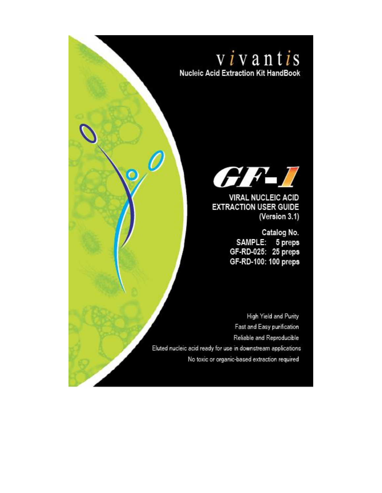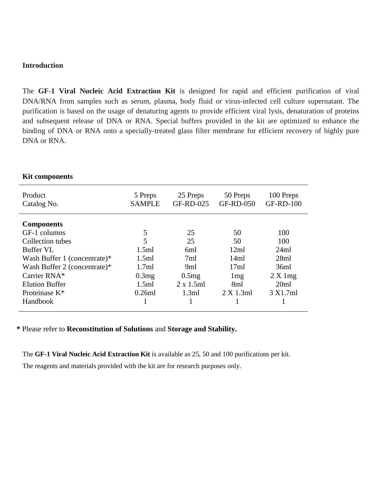#### **Introduction**

The **GF-1 Viral Nucleic Acid Extraction Kit** is designed for rapid and efficient purification of viral DNA/RNA from samples such as serum, plasma, body fluid or virus-infected cell culture supernatant. The purification is based on the usage of denaturing agents to provide efficient viral lysis, denaturation of proteins and subsequent release of DNA or RNA. Special buffers provided in the kit are optimized to enhance the binding of DNA or RNA onto a specially-treated glass filter membrane for efficient recovery of highly pure DNA or RNA.

| Product<br>Catalog No.       | 5 Preps<br><b>SAMPLE</b> | 25 Preps<br><b>GF-RD-025</b> | 50 Preps<br><b>GF-RD-050</b> | 100 Preps<br><b>GF-RD-100</b> |
|------------------------------|--------------------------|------------------------------|------------------------------|-------------------------------|
| <b>Components</b>            |                          |                              |                              |                               |
| GF-1 columns                 | 5                        | 25                           | 50                           | 100                           |
| Collection tubes             | 5                        | 25                           | 50                           | 100                           |
| <b>Buffer VL</b>             | 1.5ml                    | 6ml                          | 12ml                         | 24ml                          |
| Wash Buffer 1 (concentrate)* | 1.5ml                    | 7ml                          | 14ml                         | 28ml                          |
| Wash Buffer 2 (concentrate)* | 1.7ml                    | 9ml                          | 17ml                         | 36ml                          |
| Carrier RNA*                 | 0.3mg                    | 0.5mg                        | 1mg                          | 2 X 1 mg                      |
| <b>Elution Buffer</b>        | 1.5ml                    | $2 \times 1.5$ ml            | 8ml                          | 20ml                          |
| Proteinase K*                | 0.26ml                   | 1.3ml                        | $2 X 1.3$ ml                 | 3 X1.7ml                      |
| Handbook                     |                          |                              |                              |                               |

#### **Kit components**

**\*** Please refer to **Reconstitution of Solutions** and **Storage and Stability.**

The **GF-1 Viral Nucleic Acid Extraction Kit** is available as 25, 50 and 100 purifications per kit.

The reagents and materials provided with the kit are for research purposes only.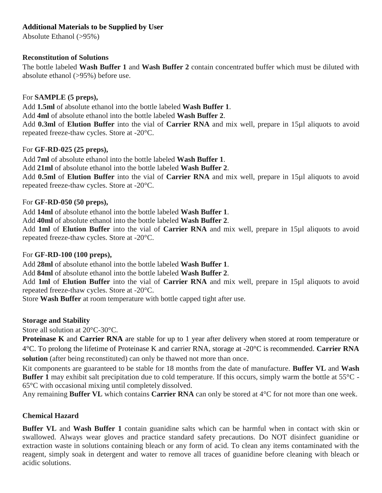### **Additional Materials to be Supplied by User**

Absolute Ethanol (>95%)

### **Reconstitution of Solutions**

The bottle labeled **Wash Buffer 1** and **Wash Buffer 2** contain concentrated buffer which must be diluted with absolute ethanol (>95%) before use.

## For **SAMPLE (5 preps),**

Add **1.5ml** of absolute ethanol into the bottle labeled **Wash Buffer 1**.

Add **4ml** of absolute ethanol into the bottle labeled **Wash Buffer 2**.

Add **0.3ml** of **Elution Buffer** into the vial of **Carrier RNA** and mix well, prepare in 15µl aliquots to avoid repeated freeze-thaw cycles. Store at -20°C.

## For **GF-RD-025 (25 preps),**

Add **7ml** of absolute ethanol into the bottle labeled **Wash Buffer 1**.

Add **21ml** of absolute ethanol into the bottle labeled **Wash Buffer 2**.

Add **0.5ml** of **Elution Buffer** into the vial of **Carrier RNA** and mix well, prepare in 15µl aliquots to avoid repeated freeze-thaw cycles. Store at -20°C.

## For **GF-RD-050 (50 preps),**

Add **14ml** of absolute ethanol into the bottle labeled **Wash Buffer 1**.

Add **40ml** of absolute ethanol into the bottle labeled **Wash Buffer 2**.

Add **1ml** of **Elution Buffer** into the vial of **Carrier RNA** and mix well, prepare in 15µl aliquots to avoid repeated freeze-thaw cycles. Store at -20°C.

### For **GF-RD-100 (100 preps),**

Add **28ml** of absolute ethanol into the bottle labeled **Wash Buffer 1**.

Add **84ml** of absolute ethanol into the bottle labeled **Wash Buffer 2**.

Add **1ml** of **Elution Buffer** into the vial of **Carrier RNA** and mix well, prepare in 15µl aliquots to avoid repeated freeze-thaw cycles. Store at -20°C.

Store **Wash Buffer** at room temperature with bottle capped tight after use.

# **Storage and Stability**

Store all solution at 20°C-30°C.

**Proteinase K** and **Carrier RNA** are stable for up to 1 year after delivery when stored at room temperature or 4°C. To prolong the lifetime of Proteinase K and carrier RNA, storage at -20°C is recommended. **Carrier RNA solution** (after being reconstituted) can only be thawed not more than once.

Kit components are guaranteed to be stable for 18 months from the date of manufacture. **Buffer VL** and **Wash Buffer 1** may exhibit salt precipitation due to cold temperature. If this occurs, simply warm the bottle at 55<sup>°</sup>C -65°C with occasional mixing until completely dissolved.

Any remaining **Buffer VL** which contains **Carrier RNA** can only be stored at 4°C for not more than one week.

# **Chemical Hazard**

**Buffer VL** and **Wash Buffer 1** contain guanidine salts which can be harmful when in contact with skin or swallowed. Always wear gloves and practice standard safety precautions. Do NOT disinfect guanidine or extraction waste in solutions containing bleach or any form of acid. To clean any items contaminated with the reagent, simply soak in detergent and water to remove all traces of guanidine before cleaning with bleach or acidic solutions.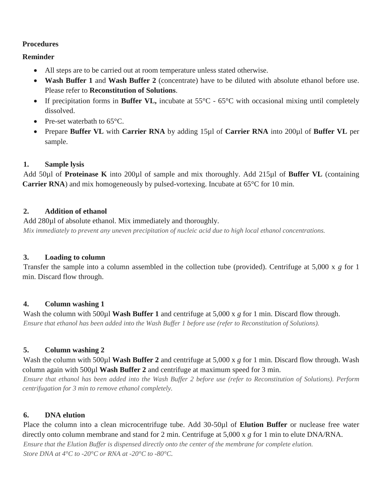#### **Procedures**

### **Reminder**

- All steps are to be carried out at room temperature unless stated otherwise.
- **Wash Buffer 1** and **Wash Buffer 2** (concentrate) have to be diluted with absolute ethanol before use. Please refer to **Reconstitution of Solutions**.
- If precipitation forms in **Buffer VL**, incubate at 55°C 65°C with occasional mixing until completely dissolved.
- Pre-set waterbath to 65<sup>o</sup>C.
- Prepare **Buffer VL** with **Carrier RNA** by adding 15µl of **Carrier RNA** into 200µl of **Buffer VL** per sample.

## **1. Sample lysis**

Add 50µl of **Proteinase K** into 200µl of sample and mix thoroughly. Add 215µl of **Buffer VL** (containing **Carrier RNA**) and mix homogeneously by pulsed-vortexing. Incubate at 65<sup>o</sup>C for 10 min.

## **2. Addition of ethanol**

Add 280 $\mu$ l of absolute ethanol. Mix immediately and thoroughly. *Mix immediately to prevent any uneven precipitation of nucleic acid due to high local ethanol concentrations.*

# **3. Loading to column**

Transfer the sample into a column assembled in the collection tube (provided). Centrifuge at 5,000 x *g* for 1 min. Discard flow through.

# **4. Column washing 1**

Wash the column with 500<sub>k</sub>l **Wash Buffer 1** and centrifuge at 5,000 x *g* for 1 min. Discard flow through. *Ensure that ethanol has been added into the Wash Buffer 1 before use (refer to Reconstitution of Solutions).*

# **5. Column washing 2**

Wash the column with 500<sub>k</sub>l Wash Buffer 2 and centrifuge at 5,000 x *g* for 1 min. Discard flow through. Wash column again with 500µl **Wash Buffer 2** and centrifuge at maximum speed for 3 min.

*Ensure that ethanol has been added into the Wash Buffer 2 before use (refer to Reconstitution of Solutions). Perform centrifugation for 3 min to remove ethanol completely.*

# **6. DNA elution**

Place the column into a clean microcentrifuge tube. Add 30-50µl of **Elution Buffer** or nuclease free water directly onto column membrane and stand for 2 min. Centrifuge at 5,000 x *g* for 1 min to elute DNA/RNA. *Ensure that the Elution Buffer is dispensed directly onto the center of the membrane for complete elution. Store DNA at 4°C to -20°C or RNA at -20°C to -80°C.*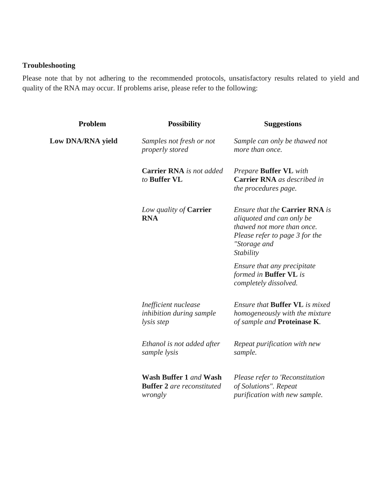## **Troubleshooting**

Please note that by not adhering to the recommended protocols, unsatisfactory results related to yield and quality of the RNA may occur. If problems arise, please refer to the following:

| Problem           | <b>Possibility</b>                                                     | <b>Suggestions</b>                                                                                                                                              |
|-------------------|------------------------------------------------------------------------|-----------------------------------------------------------------------------------------------------------------------------------------------------------------|
| Low DNA/RNA yield | Samples not fresh or not<br>properly stored                            | Sample can only be thawed not<br>more than once.                                                                                                                |
|                   | <b>Carrier RNA</b> is not added<br>to Buffer VL                        | Prepare Buffer VL with<br><b>Carrier RNA</b> as described in<br>the procedures page.                                                                            |
|                   | Low quality of <b>Carrier</b><br><b>RNA</b>                            | <b>Ensure that the Carrier RNA is</b><br>aliquoted and can only be<br>thawed not more than once.<br>Please refer to page 3 for the<br>"Storage and<br>Stability |
|                   |                                                                        | Ensure that any precipitate<br>formed in <b>Buffer VL</b> is<br>completely dissolved.                                                                           |
|                   | Inefficient nuclease<br>inhibition during sample<br>lysis step         | Ensure that <b>Buffer VL</b> is mixed<br>homogeneously with the mixture<br>of sample and Proteinase K.                                                          |
|                   | Ethanol is not added after<br>sample lysis                             | Repeat purification with new<br>sample.                                                                                                                         |
|                   | Wash Buffer 1 and Wash<br><b>Buffer 2</b> are reconstituted<br>wrongly | Please refer to 'Reconstitution<br>of Solutions". Repeat<br>purification with new sample.                                                                       |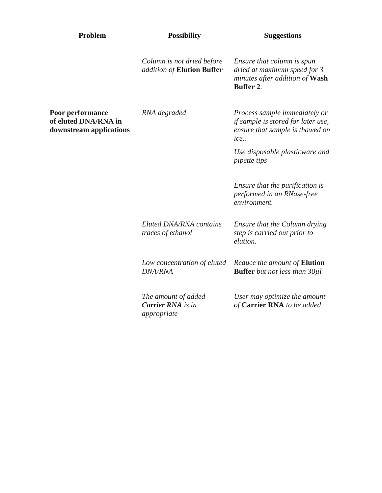| Problem                                                             | <b>Possibility</b>                                             | <b>Suggestions</b>                                                                                               |
|---------------------------------------------------------------------|----------------------------------------------------------------|------------------------------------------------------------------------------------------------------------------|
|                                                                     | Column is not dried before<br>addition of Elution Buffer       | Ensure that column is spun<br>dried at maximum speed for 3<br>minutes after addition of Wash<br><b>Buffer 2.</b> |
| Poor performance<br>of eluted DNA/RNA in<br>downstream applications | RNA degraded                                                   | Process sample immediately or<br>if sample is stored for later use,<br>ensure that sample is thawed on<br>ice    |
|                                                                     |                                                                | Use disposable plasticware and<br><i>pipette tips</i>                                                            |
|                                                                     |                                                                | Ensure that the purification is<br>performed in an RNase-free<br>environment.                                    |
|                                                                     | <b>Eluted DNA/RNA</b> contains<br>traces of ethanol            | Ensure that the Column drying<br>step is carried out prior to<br>elution.                                        |
|                                                                     | Low concentration of eluted<br><b>DNA/RNA</b>                  | Reduce the amount of <b>Elution</b><br><b>Buffer</b> but not less than 30µl                                      |
|                                                                     | The amount of added<br><b>Carrier RNA</b> is in<br>appropriate | User may optimize the amount<br>of Carrier RNA to be added                                                       |